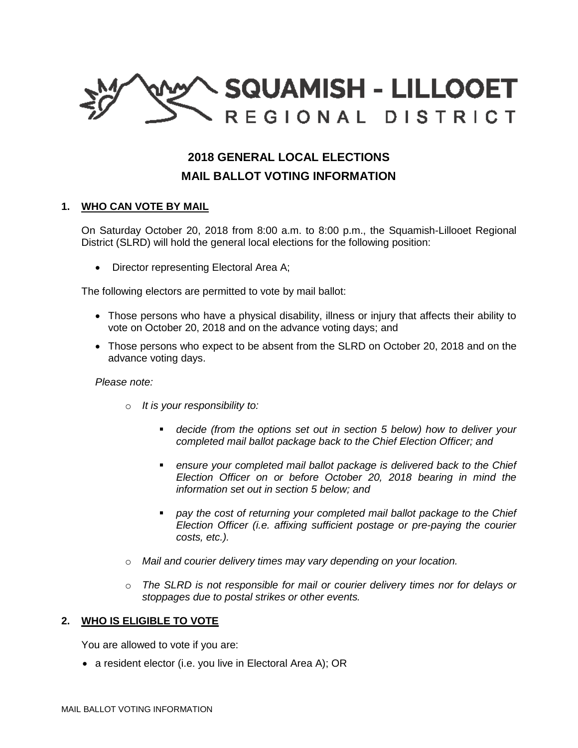

# **2018 GENERAL LOCAL ELECTIONS**

# **MAIL BALLOT VOTING INFORMATION**

## **1. WHO CAN VOTE BY MAIL**

On Saturday October 20, 2018 from 8:00 a.m. to 8:00 p.m., the Squamish-Lillooet Regional District (SLRD) will hold the general local elections for the following position:

• Director representing Electoral Area A;

The following electors are permitted to vote by mail ballot:

- Those persons who have a physical disability, illness or injury that affects their ability to vote on October 20, 2018 and on the advance voting days; and
- Those persons who expect to be absent from the SLRD on October 20, 2018 and on the advance voting days.

#### *Please note:*

- o *It is your responsibility to:*
	- *decide (from the options set out in section 5 below) how to deliver your completed mail ballot package back to the Chief Election Officer; and*
	- *ensure your completed mail ballot package is delivered back to the Chief Election Officer on or before October 20, 2018 bearing in mind the information set out in section 5 below; and*
	- *pay the cost of returning your completed mail ballot package to the Chief Election Officer (i.e. affixing sufficient postage or pre-paying the courier costs, etc.).*
- o *Mail and courier delivery times may vary depending on your location.*
- o *The SLRD is not responsible for mail or courier delivery times nor for delays or stoppages due to postal strikes or other events.*

## **2. WHO IS ELIGIBLE TO VOTE**

You are allowed to vote if you are:

• a resident elector (i.e. you live in Electoral Area A); OR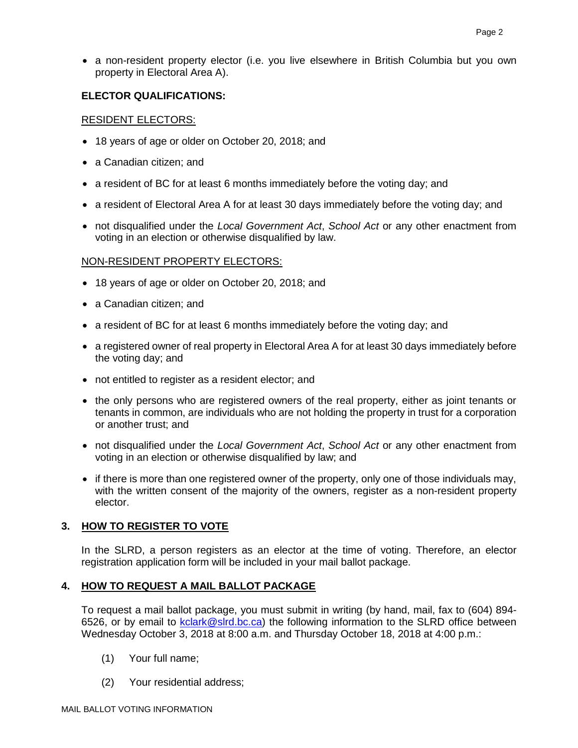a non-resident property elector (i.e. you live elsewhere in British Columbia but you own property in Electoral Area A).

## **ELECTOR QUALIFICATIONS:**

#### RESIDENT ELECTORS:

- 18 years of age or older on October 20, 2018; and
- a Canadian citizen: and
- a resident of BC for at least 6 months immediately before the voting day; and
- a resident of Electoral Area A for at least 30 days immediately before the voting day; and
- not disqualified under the *Local Government Act*, *School Act* or any other enactment from voting in an election or otherwise disqualified by law.

#### NON-RESIDENT PROPERTY ELECTORS:

- 18 years of age or older on October 20, 2018; and
- a Canadian citizen: and
- a resident of BC for at least 6 months immediately before the voting day; and
- a registered owner of real property in Electoral Area A for at least 30 days immediately before the voting day; and
- not entitled to register as a resident elector; and
- the only persons who are registered owners of the real property, either as joint tenants or tenants in common, are individuals who are not holding the property in trust for a corporation or another trust; and
- not disqualified under the *Local Government Act*, *School Act* or any other enactment from voting in an election or otherwise disqualified by law; and
- if there is more than one registered owner of the property, only one of those individuals may, with the written consent of the majority of the owners, register as a non-resident property elector.

# **3. HOW TO REGISTER TO VOTE**

In the SLRD, a person registers as an elector at the time of voting. Therefore, an elector registration application form will be included in your mail ballot package.

#### **4. HOW TO REQUEST A MAIL BALLOT PACKAGE**

To request a mail ballot package, you must submit in writing (by hand, mail, fax to (604) 894- 6526, or by email to **kclark@slrd.bc.ca**) the following information to the SLRD office between Wednesday October 3, 2018 at 8:00 a.m. and Thursday October 18, 2018 at 4:00 p.m.:

- (1) Your full name;
- (2) Your residential address;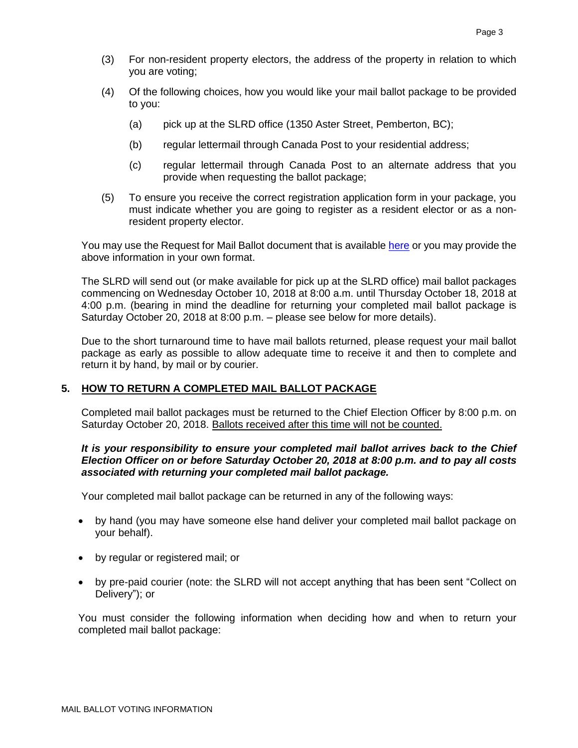- (3) For non-resident property electors, the address of the property in relation to which you are voting;
- (4) Of the following choices, how you would like your mail ballot package to be provided to you:
	- (a) pick up at the SLRD office (1350 Aster Street, Pemberton, BC);
	- (b) regular lettermail through Canada Post to your residential address;
	- (c) regular lettermail through Canada Post to an alternate address that you provide when requesting the ballot package;
- (5) To ensure you receive the correct registration application form in your package, you must indicate whether you are going to register as a resident elector or as a nonresident property elector.

You may use the Request for Mail Ballot document that is available [here](https://www.slrd.bc.ca/sites/default/files/pdfs/Elections-2018/MailVoting/FINAL_Request.pdf) or you may provide the above information in your own format.

The SLRD will send out (or make available for pick up at the SLRD office) mail ballot packages commencing on Wednesday October 10, 2018 at 8:00 a.m. until Thursday October 18, 2018 at 4:00 p.m. (bearing in mind the deadline for returning your completed mail ballot package is Saturday October 20, 2018 at 8:00 p.m. – please see below for more details).

Due to the short turnaround time to have mail ballots returned, please request your mail ballot package as early as possible to allow adequate time to receive it and then to complete and return it by hand, by mail or by courier.

#### **5. HOW TO RETURN A COMPLETED MAIL BALLOT PACKAGE**

Completed mail ballot packages must be returned to the Chief Election Officer by 8:00 p.m. on Saturday October 20, 2018. Ballots received after this time will not be counted.

#### *It is your responsibility to ensure your completed mail ballot arrives back to the Chief Election Officer on or before Saturday October 20, 2018 at 8:00 p.m. and to pay all costs associated with returning your completed mail ballot package.*

Your completed mail ballot package can be returned in any of the following ways:

- by hand (you may have someone else hand deliver your completed mail ballot package on your behalf).
- by regular or registered mail; or
- by pre-paid courier (note: the SLRD will not accept anything that has been sent "Collect on Delivery"); or

You must consider the following information when deciding how and when to return your completed mail ballot package: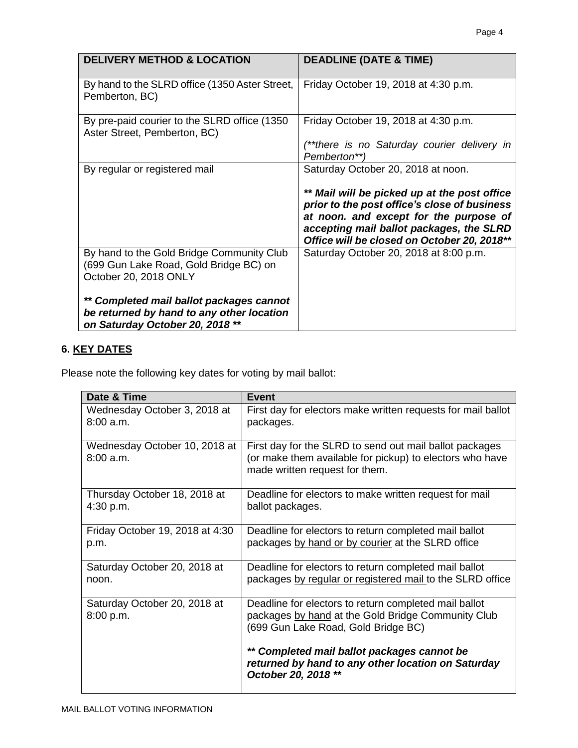| <b>DELIVERY METHOD &amp; LOCATION</b>                                                                                    | <b>DEADLINE (DATE &amp; TIME)</b>                                                                                                                                                                                                                                       |
|--------------------------------------------------------------------------------------------------------------------------|-------------------------------------------------------------------------------------------------------------------------------------------------------------------------------------------------------------------------------------------------------------------------|
| By hand to the SLRD office (1350 Aster Street,<br>Pemberton, BC)                                                         | Friday October 19, 2018 at 4:30 p.m.                                                                                                                                                                                                                                    |
| By pre-paid courier to the SLRD office (1350)<br>Aster Street, Pemberton, BC)                                            | Friday October 19, 2018 at 4:30 p.m.<br>(**there is no Saturday courier delivery in<br>Pemberton**)                                                                                                                                                                     |
| By regular or registered mail                                                                                            | Saturday October 20, 2018 at noon.<br>** Mail will be picked up at the post office<br>prior to the post office's close of business<br>at noon. and except for the purpose of<br>accepting mail ballot packages, the SLRD<br>Office will be closed on October 20, 2018** |
| By hand to the Gold Bridge Community Club<br>(699 Gun Lake Road, Gold Bridge BC) on<br>October 20, 2018 ONLY             | Saturday October 20, 2018 at 8:00 p.m.                                                                                                                                                                                                                                  |
| ** Completed mail ballot packages cannot<br>be returned by hand to any other location<br>on Saturday October 20, 2018 ** |                                                                                                                                                                                                                                                                         |

# **6. KEY DATES**

Please note the following key dates for voting by mail ballot:

| Date & Time                               | <b>Event</b>                                                                                                                                                                                                                                            |
|-------------------------------------------|---------------------------------------------------------------------------------------------------------------------------------------------------------------------------------------------------------------------------------------------------------|
| Wednesday October 3, 2018 at              | First day for electors make written requests for mail ballot                                                                                                                                                                                            |
| 8:00a.m.                                  | packages.                                                                                                                                                                                                                                               |
| Wednesday October 10, 2018 at<br>8:00a.m. | First day for the SLRD to send out mail ballot packages<br>(or make them available for pickup) to electors who have<br>made written request for them.                                                                                                   |
| Thursday October 18, 2018 at              | Deadline for electors to make written request for mail                                                                                                                                                                                                  |
| 4:30 p.m.                                 | ballot packages.                                                                                                                                                                                                                                        |
| Friday October 19, 2018 at 4:30           | Deadline for electors to return completed mail ballot                                                                                                                                                                                                   |
| p.m.                                      | packages by hand or by courier at the SLRD office                                                                                                                                                                                                       |
| Saturday October 20, 2018 at              | Deadline for electors to return completed mail ballot                                                                                                                                                                                                   |
| noon.                                     | packages by regular or registered mail to the SLRD office                                                                                                                                                                                               |
| Saturday October 20, 2018 at<br>8:00 p.m. | Deadline for electors to return completed mail ballot<br>packages by hand at the Gold Bridge Community Club<br>(699 Gun Lake Road, Gold Bridge BC)<br>** Completed mail ballot packages cannot be<br>returned by hand to any other location on Saturday |
|                                           | October 20, 2018 **                                                                                                                                                                                                                                     |